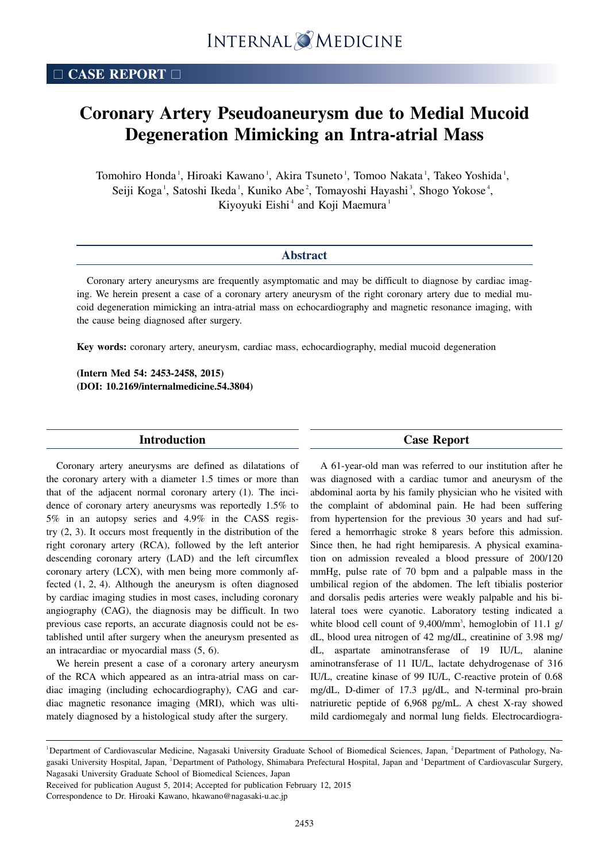# **Coronary Artery Pseudoaneurysm due to Medial Mucoid Degeneration Mimicking an Intra-atrial Mass**

Tomohiro Honda<sup>1</sup>, Hiroaki Kawano<sup>1</sup>, Akira Tsuneto<sup>1</sup>, Tomoo Nakata<sup>1</sup>, Takeo Yoshida<sup>1</sup>, Seiji Koga<sup>1</sup>, Satoshi Ikeda<sup>1</sup>, Kuniko Abe<sup>2</sup>, Tomayoshi Hayashi<sup>3</sup>, Shogo Yokose<sup>4</sup>, Kiyoyuki Eishi<sup> $4$ </sup> and Koji Maemura<sup>1</sup>

| <b>Abstract</b>                                                                                            |  |  |  |  |  |  |  |
|------------------------------------------------------------------------------------------------------------|--|--|--|--|--|--|--|
| Coronary artery aneurysms are frequently asymptomatic and may be difficult to diagnose by cardiac imag-    |  |  |  |  |  |  |  |
| ing. We herein present a case of a coronary artery aneurysm of the right coronary artery due to medial mu- |  |  |  |  |  |  |  |

coid degeneration mimicking an intra-atrial mass on echocardiography and magnetic resonance imaging, with the cause being diagnosed after surgery.

**Key words:** coronary artery, aneurysm, cardiac mass, echocardiography, medial mucoid degeneration

**(Intern Med 54: 2453-2458, 2015) (DOI: 10.2169/internalmedicine.54.3804)**

### **Introduction**

Coronary artery aneurysms are defined as dilatations of the coronary artery with a diameter 1.5 times or more than that of the adjacent normal coronary artery (1). The incidence of coronary artery aneurysms was reportedly 1.5% to 5% in an autopsy series and 4.9% in the CASS registry (2, 3). It occurs most frequently in the distribution of the right coronary artery (RCA), followed by the left anterior descending coronary artery (LAD) and the left circumflex coronary artery (LCX), with men being more commonly affected (1, 2, 4). Although the aneurysm is often diagnosed by cardiac imaging studies in most cases, including coronary angiography (CAG), the diagnosis may be difficult. In two previous case reports, an accurate diagnosis could not be established until after surgery when the aneurysm presented as an intracardiac or myocardial mass (5, 6).

We herein present a case of a coronary artery aneurysm of the RCA which appeared as an intra-atrial mass on cardiac imaging (including echocardiography), CAG and cardiac magnetic resonance imaging (MRI), which was ultimately diagnosed by a histological study after the surgery.

## **Case Report**

A 61-year-old man was referred to our institution after he was diagnosed with a cardiac tumor and aneurysm of the abdominal aorta by his family physician who he visited with the complaint of abdominal pain. He had been suffering from hypertension for the previous 30 years and had suffered a hemorrhagic stroke 8 years before this admission. Since then, he had right hemiparesis. A physical examination on admission revealed a blood pressure of 200/120 mmHg, pulse rate of 70 bpm and a palpable mass in the umbilical region of the abdomen. The left tibialis posterior and dorsalis pedis arteries were weakly palpable and his bilateral toes were cyanotic. Laboratory testing indicated a white blood cell count of 9,400/mm<sup>3</sup>, hemoglobin of 11.1 g/ dL, blood urea nitrogen of 42 mg/dL, creatinine of 3.98 mg/ dL, aspartate aminotransferase of 19 IU/L, alanine aminotransferase of 11 IU/L, lactate dehydrogenase of 316 IU/L, creatine kinase of 99 IU/L, C-reactive protein of 0.68 mg/dL, D-dimer of 17.3 μg/dL, and N-terminal pro-brain natriuretic peptide of 6,968 pg/mL. A chest X-ray showed mild cardiomegaly and normal lung fields. Electrocardiogra-

Received for publication August 5, 2014; Accepted for publication February 12, 2015

Correspondence to Dr. Hiroaki Kawano, hkawano@nagasaki-u.ac.jp

<sup>&</sup>lt;sup>1</sup>Department of Cardiovascular Medicine, Nagasaki University Graduate School of Biomedical Sciences, Japan, <sup>2</sup>Department of Pathology, Nagasaki University Hospital, Japan, <sup>3</sup>Department of Pathology, Shimabara Prefectural Hospital, Japan and <sup>4</sup>Department of Cardiovascular Surgery, Nagasaki University Graduate School of Biomedical Sciences, Japan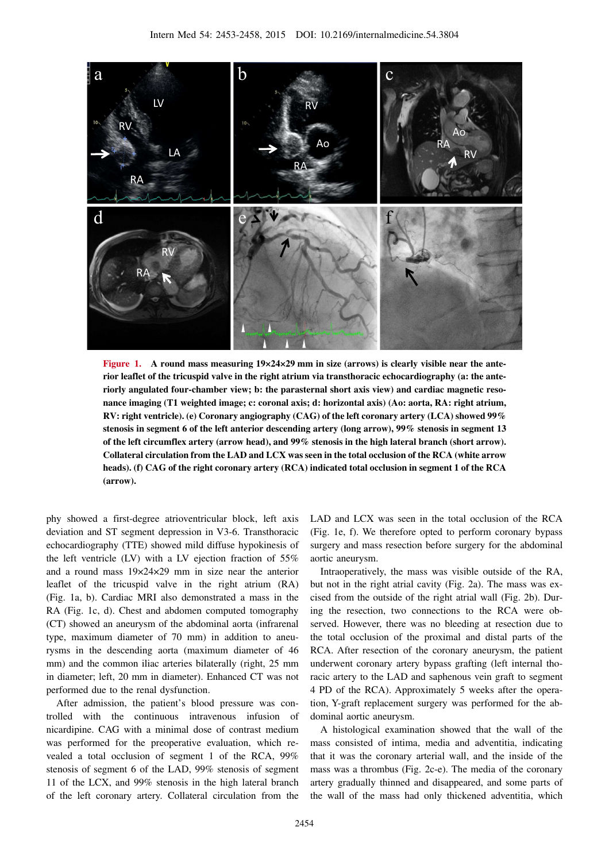

**Figure 1. A round mass measuring 19×24×29 mm in size (arrows) is clearly visible near the anterior leaflet of the tricuspid valve in the right atrium via transthoracic echocardiography (a: the anteriorly angulated four-chamber view; b: the parasternal short axis view) and cardiac magnetic resonance imaging (T1 weighted image; c: coronal axis; d: horizontal axis) (Ao: aorta, RA: right atrium, RV: right ventricle). (e) Coronary angiography (CAG) of the left coronary artery (LCA) showed 99% stenosis in segment 6 of the left anterior descending artery (long arrow), 99% stenosis in segment 13 of the left circumflex artery (arrow head), and 99% stenosis in the high lateral branch (short arrow). Collateral circulation from the LAD and LCX was seen in the total occlusion of the RCA (white arrow heads). (f) CAG of the right coronary artery (RCA) indicated total occlusion in segment 1 of the RCA (arrow).**

phy showed a first-degree atrioventricular block, left axis deviation and ST segment depression in V3-6. Transthoracic echocardiography (TTE) showed mild diffuse hypokinesis of the left ventricle (LV) with a LV ejection fraction of 55% and a round mass 19×24×29 mm in size near the anterior leaflet of the tricuspid valve in the right atrium (RA) (Fig. 1a, b). Cardiac MRI also demonstrated a mass in the RA (Fig. 1c, d). Chest and abdomen computed tomography (CT) showed an aneurysm of the abdominal aorta (infrarenal type, maximum diameter of 70 mm) in addition to aneurysms in the descending aorta (maximum diameter of 46 mm) and the common iliac arteries bilaterally (right, 25 mm in diameter; left, 20 mm in diameter). Enhanced CT was not performed due to the renal dysfunction.

After admission, the patient's blood pressure was controlled with the continuous intravenous infusion of nicardipine. CAG with a minimal dose of contrast medium was performed for the preoperative evaluation, which revealed a total occlusion of segment 1 of the RCA, 99% stenosis of segment 6 of the LAD, 99% stenosis of segment 11 of the LCX, and 99% stenosis in the high lateral branch of the left coronary artery. Collateral circulation from the

LAD and LCX was seen in the total occlusion of the RCA (Fig. 1e, f). We therefore opted to perform coronary bypass surgery and mass resection before surgery for the abdominal aortic aneurysm.

Intraoperatively, the mass was visible outside of the RA, but not in the right atrial cavity (Fig. 2a). The mass was excised from the outside of the right atrial wall (Fig. 2b). During the resection, two connections to the RCA were observed. However, there was no bleeding at resection due to the total occlusion of the proximal and distal parts of the RCA. After resection of the coronary aneurysm, the patient underwent coronary artery bypass grafting (left internal thoracic artery to the LAD and saphenous vein graft to segment 4 PD of the RCA). Approximately 5 weeks after the operation, Y-graft replacement surgery was performed for the abdominal aortic aneurysm.

A histological examination showed that the wall of the mass consisted of intima, media and adventitia, indicating that it was the coronary arterial wall, and the inside of the mass was a thrombus (Fig. 2c-e). The media of the coronary artery gradually thinned and disappeared, and some parts of the wall of the mass had only thickened adventitia, which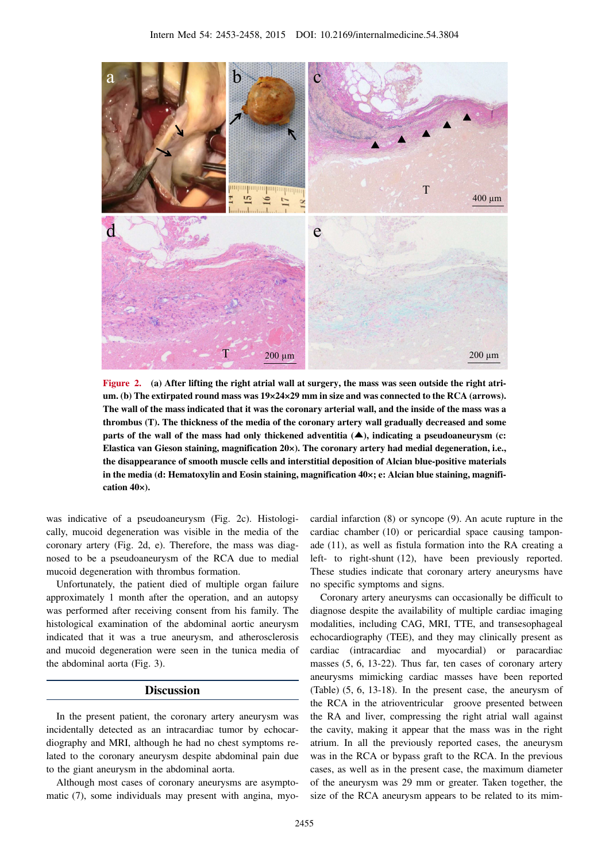

**Figure 2. (a) After lifting the right atrial wall at surgery, the mass was seen outside the right atrium. (b) The extirpated round mass was 19×24×29 mm in size and was connected to the RCA (arrows). The wall of the mass indicated that it was the coronary arterial wall, and the inside of the mass was a thrombus (T). The thickness of the media of the coronary artery wall gradually decreased and some parts of the wall of the mass had only thickened adventitia (**▲**), indicating a pseudoaneurysm (c: Elastica van Gieson staining, magnification 20×). The coronary artery had medial degeneration, i.e., the disappearance of smooth muscle cells and interstitial deposition of Alcian blue-positive materials in the media (d: Hematoxylin and Eosin staining, magnification 40×; e: Alcian blue staining, magnification 40×).**

was indicative of a pseudoaneurysm (Fig. 2c). Histologically, mucoid degeneration was visible in the media of the coronary artery (Fig. 2d, e). Therefore, the mass was diagnosed to be a pseudoaneurysm of the RCA due to medial mucoid degeneration with thrombus formation.

Unfortunately, the patient died of multiple organ failure approximately 1 month after the operation, and an autopsy was performed after receiving consent from his family. The histological examination of the abdominal aortic aneurysm indicated that it was a true aneurysm, and atherosclerosis and mucoid degeneration were seen in the tunica media of the abdominal aorta (Fig. 3).

## **Discussion**

In the present patient, the coronary artery aneurysm was incidentally detected as an intracardiac tumor by echocardiography and MRI, although he had no chest symptoms related to the coronary aneurysm despite abdominal pain due to the giant aneurysm in the abdominal aorta.

Although most cases of coronary aneurysms are asymptomatic (7), some individuals may present with angina, myocardial infarction (8) or syncope (9). An acute rupture in the cardiac chamber (10) or pericardial space causing tamponade (11), as well as fistula formation into the RA creating a left- to right-shunt (12), have been previously reported. These studies indicate that coronary artery aneurysms have no specific symptoms and signs.

Coronary artery aneurysms can occasionally be difficult to diagnose despite the availability of multiple cardiac imaging modalities, including CAG, MRI, TTE, and transesophageal echocardiography (TEE), and they may clinically present as cardiac (intracardiac and myocardial) or paracardiac masses (5, 6, 13-22). Thus far, ten cases of coronary artery aneurysms mimicking cardiac masses have been reported (Table) (5, 6, 13-18). In the present case, the aneurysm of the RCA in the atrioventricular groove presented between the RA and liver, compressing the right atrial wall against the cavity, making it appear that the mass was in the right atrium. In all the previously reported cases, the aneurysm was in the RCA or bypass graft to the RCA. In the previous cases, as well as in the present case, the maximum diameter of the aneurysm was 29 mm or greater. Taken together, the size of the RCA aneurysm appears to be related to its mim-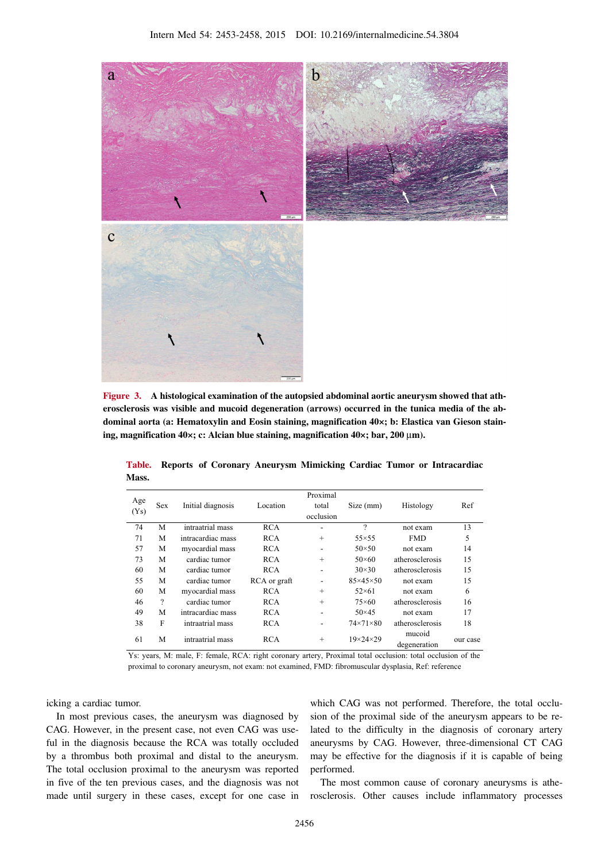

**Figure 3. A histological examination of the autopsied abdominal aortic aneurysm showed that atherosclerosis was visible and mucoid degeneration (arrows) occurred in the tunica media of the abdominal aorta (a: Hematoxylin and Eosin staining, magnification 40×; b: Elastica van Gieson staining, magnification 40×; c: Alcian blue staining, magnification 40×; bar, 200** μ**m).**

| Age<br>(Ys) | <b>Sex</b> | Initial diagnosis | Location     | Proximal<br>total<br>occlusion | Size (mm)            | Histology              | Ref      |
|-------------|------------|-------------------|--------------|--------------------------------|----------------------|------------------------|----------|
| 74          | M          | intraatrial mass  | <b>RCA</b>   | -                              | ?                    | not exam               | 13       |
| 71          | M          | intracardiac mass | <b>RCA</b>   | $^{+}$                         | $55\times55$         | <b>FMD</b>             | 5        |
| 57          | М          | myocardial mass   | <b>RCA</b>   | $\overline{\phantom{0}}$       | $50\times50$         | not exam               | 14       |
| 73          | М          | cardiac tumor     | <b>RCA</b>   | $^{+}$                         | $50\times 60$        | atherosclerosis        | 15       |
| 60          | M          | cardiac tumor     | <b>RCA</b>   | -                              | $30\times30$         | atherosclerosis        | 15       |
| 55          | M          | cardiac tumor     | RCA or graft | -                              | $85\times45\times50$ | not exam               | 15       |
| 60          | М          | myocardial mass   | <b>RCA</b>   | $^{+}$                         | $52\times61$         | not exam               | 6        |
| 46          | $\gamma$   | cardiac tumor     | RCA          | $^{+}$                         | $75\times60$         | atherosclerosis        | 16       |
| 49          | M          | intracardiac mass | <b>RCA</b>   | ۰                              | $50\times 45$        | not exam               | 17       |
| 38          | F          | intraatrial mass  | <b>RCA</b>   |                                | $74\times71\times80$ | atherosclerosis        | 18       |
| 61          | M          | intraatrial mass  | <b>RCA</b>   | $^{+}$                         | $19\times24\times29$ | mucoid<br>degeneration | our case |

**Table. Reports of Coronary Aneurysm Mimicking Cardiac Tumor or Intracardiac Mass.**

Ys: years, M: male, F: female, RCA: right coronary artery, Proximal total occlusion: total occlusion of the proximal to coronary aneurysm, not exam: not examined, FMD: fibromuscular dysplasia, Ref: reference

icking a cardiac tumor.

In most previous cases, the aneurysm was diagnosed by CAG. However, in the present case, not even CAG was useful in the diagnosis because the RCA was totally occluded by a thrombus both proximal and distal to the aneurysm. The total occlusion proximal to the aneurysm was reported in five of the ten previous cases, and the diagnosis was not made until surgery in these cases, except for one case in

which CAG was not performed. Therefore, the total occlusion of the proximal side of the aneurysm appears to be related to the difficulty in the diagnosis of coronary artery aneurysms by CAG. However, three-dimensional CT CAG may be effective for the diagnosis if it is capable of being performed.

The most common cause of coronary aneurysms is atherosclerosis. Other causes include inflammatory processes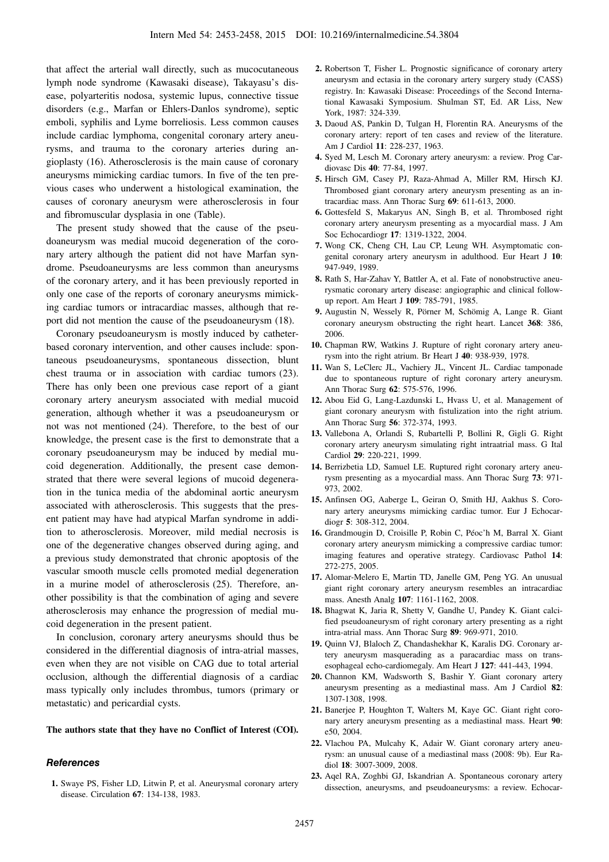that affect the arterial wall directly, such as mucocutaneous lymph node syndrome (Kawasaki disease), Takayasu's disease, polyarteritis nodosa, systemic lupus, connective tissue disorders (e.g., Marfan or Ehlers-Danlos syndrome), septic emboli, syphilis and Lyme borreliosis. Less common causes include cardiac lymphoma, congenital coronary artery aneurysms, and trauma to the coronary arteries during angioplasty (16). Atherosclerosis is the main cause of coronary aneurysms mimicking cardiac tumors. In five of the ten previous cases who underwent a histological examination, the causes of coronary aneurysm were atherosclerosis in four and fibromuscular dysplasia in one (Table).

The present study showed that the cause of the pseudoaneurysm was medial mucoid degeneration of the coronary artery although the patient did not have Marfan syndrome. Pseudoaneurysms are less common than aneurysms of the coronary artery, and it has been previously reported in only one case of the reports of coronary aneurysms mimicking cardiac tumors or intracardiac masses, although that report did not mention the cause of the pseudoaneurysm (18).

Coronary pseudoaneurysm is mostly induced by catheterbased coronary intervention, and other causes include: spontaneous pseudoaneurysms, spontaneous dissection, blunt chest trauma or in association with cardiac tumors (23). There has only been one previous case report of a giant coronary artery aneurysm associated with medial mucoid generation, although whether it was a pseudoaneurysm or not was not mentioned (24). Therefore, to the best of our knowledge, the present case is the first to demonstrate that a coronary pseudoaneurysm may be induced by medial mucoid degeneration. Additionally, the present case demonstrated that there were several legions of mucoid degeneration in the tunica media of the abdominal aortic aneurysm associated with atherosclerosis. This suggests that the present patient may have had atypical Marfan syndrome in addition to atherosclerosis. Moreover, mild medial necrosis is one of the degenerative changes observed during aging, and a previous study demonstrated that chronic apoptosis of the vascular smooth muscle cells promoted medial degeneration in a murine model of atherosclerosis (25). Therefore, another possibility is that the combination of aging and severe atherosclerosis may enhance the progression of medial mucoid degeneration in the present patient.

In conclusion, coronary artery aneurysms should thus be considered in the differential diagnosis of intra-atrial masses, even when they are not visible on CAG due to total arterial occlusion, although the differential diagnosis of a cardiac mass typically only includes thrombus, tumors (primary or metastatic) and pericardial cysts.

#### **The authors state that they have no Conflict of Interest (COI).**

#### **References**

**1.** Swaye PS, Fisher LD, Litwin P, et al. Aneurysmal coronary artery disease. Circulation **67**: 134-138, 1983.

- **2.** Robertson T, Fisher L. Prognostic significance of coronary artery aneurysm and ectasia in the coronary artery surgery study (CASS) registry. In: Kawasaki Disease: Proceedings of the Second International Kawasaki Symposium. Shulman ST, Ed. AR Liss, New York, 1987: 324-339.
- **3.** Daoud AS, Pankin D, Tulgan H, Florentin RA. Aneurysms of the coronary artery: report of ten cases and review of the literature. Am J Cardiol **11**: 228-237, 1963.
- **4.** Syed M, Lesch M. Coronary artery aneurysm: a review. Prog Cardiovasc Dis **40**: 77-84, 1997.
- **5.** Hirsch GM, Casey PJ, Raza-Ahmad A, Miller RM, Hirsch KJ. Thrombosed giant coronary artery aneurysm presenting as an intracardiac mass. Ann Thorac Surg **69**: 611-613, 2000.
- **6.** Gottesfeld S, Makaryus AN, Singh B, et al. Thrombosed right coronary artery aneurysm presenting as a myocardial mass. J Am Soc Echocardiogr **17**: 1319-1322, 2004.
- **7.** Wong CK, Cheng CH, Lau CP, Leung WH. Asymptomatic congenital coronary artery aneurysm in adulthood. Eur Heart J **10**: 947-949, 1989.
- **8.** Rath S, Har-Zahav Y, Battler A, et al. Fate of nonobstructive aneurysmatic coronary artery disease: angiographic and clinical followup report. Am Heart J **109**: 785-791, 1985.
- **9.** Augustin N, Wessely R, Pörner M, Schömig A, Lange R. Giant coronary aneurysm obstructing the right heart. Lancet **368**: 386, 2006.
- **10.** Chapman RW, Watkins J. Rupture of right coronary artery aneurysm into the right atrium. Br Heart J **40**: 938-939, 1978.
- **11.** Wan S, LeClerc JL, Vachiery JL, Vincent JL. Cardiac tamponade due to spontaneous rupture of right coronary artery aneurysm. Ann Thorac Surg **62**: 575-576, 1996.
- **12.** Abou Eid G, Lang-Lazdunski L, Hvass U, et al. Management of giant coronary aneurysm with fistulization into the right atrium. Ann Thorac Surg **56**: 372-374, 1993.
- **13.** Vallebona A, Orlandi S, Rubartelli P, Bollini R, Gigli G. Right coronary artery aneurysm simulating right intraatrial mass. G Ital Cardiol **29**: 220-221, 1999.
- **14.** Berrizbetia LD, Samuel LE. Ruptured right coronary artery aneurysm presenting as a myocardial mass. Ann Thorac Surg **73**: 971- 973, 2002.
- **15.** Anfinsen OG, Aaberge L, Geiran O, Smith HJ, Aakhus S. Coronary artery aneurysms mimicking cardiac tumor. Eur J Echocardiogr **5**: 308-312, 2004.
- **16.** Grandmougin D, Croisille P, Robin C, Péoc'h M, Barral X. Giant coronary artery aneurysm mimicking a compressive cardiac tumor: imaging features and operative strategy. Cardiovasc Pathol **14**: 272-275, 2005.
- **17.** Alomar-Melero E, Martin TD, Janelle GM, Peng YG. An unusual giant right coronary artery aneurysm resembles an intracardiac mass. Anesth Analg **107**: 1161-1162, 2008.
- **18.** Bhagwat K, Jaria R, Shetty V, Gandhe U, Pandey K. Giant calcified pseudoaneurysm of right coronary artery presenting as a right intra-atrial mass. Ann Thorac Surg **89**: 969-971, 2010.
- **19.** Quinn VJ, Blaloch Z, Chandashekhar K, Karalis DG. Coronary artery aneurysm masquerading as a paracardiac mass on transesophageal echo-cardiomegaly. Am Heart J **127**: 441-443, 1994.
- **20.** Channon KM, Wadsworth S, Bashir Y. Giant coronary artery aneurysm presenting as a mediastinal mass. Am J Cardiol **82**: 1307-1308, 1998.
- **21.** Banerjee P, Houghton T, Walters M, Kaye GC. Giant right coronary artery aneurysm presenting as a mediastinal mass. Heart **90**: e50, 2004.
- **22.** Vlachou PA, Mulcahy K, Adair W. Giant coronary artery aneurysm: an unusual cause of a mediastinal mass (2008: 9b). Eur Radiol **18**: 3007-3009, 2008.
- **23.** Aqel RA, Zoghbi GJ, Iskandrian A. Spontaneous coronary artery dissection, aneurysms, and pseudoaneurysms: a review. Echocar-